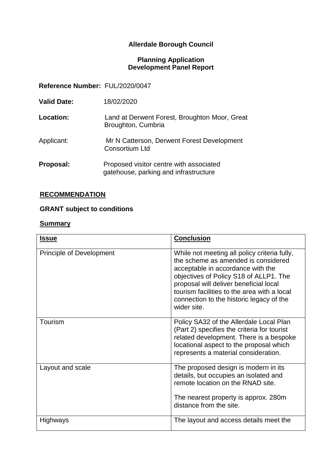# **Allerdale Borough Council**

#### **Planning Application Development Panel Report**

**Reference Number:** FUL/2020/0047

| <b>Valid Date:</b> | 18/02/2020                                                                       |
|--------------------|----------------------------------------------------------------------------------|
| Location:          | Land at Derwent Forest, Broughton Moor, Great<br>Broughton, Cumbria              |
| Applicant:         | Mr N Catterson, Derwent Forest Development<br><b>Consortium Ltd</b>              |
| Proposal:          | Proposed visitor centre with associated<br>gatehouse, parking and infrastructure |

# **RECOMMENDATION**

# **GRANT subject to conditions**

#### **Summary**

| <b>Issue</b>                    | <b>Conclusion</b>                                                                                                                                                                                                                                                                                                      |
|---------------------------------|------------------------------------------------------------------------------------------------------------------------------------------------------------------------------------------------------------------------------------------------------------------------------------------------------------------------|
| <b>Principle of Development</b> | While not meeting all policy criteria fully,<br>the scheme as amended is considered<br>acceptable in accordance with the<br>objectives of Policy S18 of ALLP1. The<br>proposal will deliver beneficial local<br>tourism facilities to the area with a local<br>connection to the historic legacy of the<br>wider site. |
| Tourism                         | Policy SA32 of the Allerdale Local Plan<br>(Part 2) specifies the criteria for tourist<br>related development. There is a bespoke<br>locational aspect to the proposal which<br>represents a material consideration.                                                                                                   |
| Layout and scale                | The proposed design is modern in its<br>details, but occupies an isolated and<br>remote location on the RNAD site.<br>The nearest property is approx. 280m<br>distance from the site.                                                                                                                                  |
| Highways                        | The layout and access details meet the                                                                                                                                                                                                                                                                                 |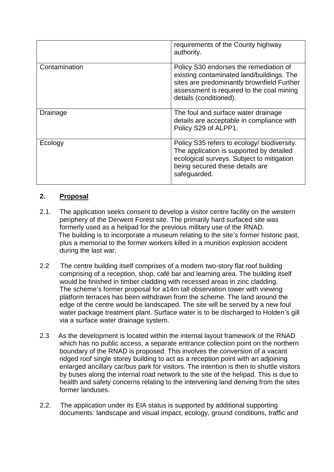|               | requirements of the County highway<br>authority.                                                                                                                                                         |
|---------------|----------------------------------------------------------------------------------------------------------------------------------------------------------------------------------------------------------|
| Contamination | Policy S30 endorses the remediation of<br>existing contaminated land/buildings. The<br>sites are predominantly brownfield Further<br>assessment is required to the coal mining<br>details (conditioned). |
| Drainage      | The foul and surface water drainage<br>details are acceptable in compliance with<br>Policy S29 of ALPP1.                                                                                                 |
| Ecology       | Policy S35 refers to ecology/ biodiversity.<br>The application is supported by detailed<br>ecological surveys. Subject to mitigation<br>being secured these details are<br>safeguarded.                  |

# **2. Proposal**

- 2.1. The application seeks consent to develop a visitor centre facility on the western periphery of the Derwent Forest site. The primarily hard surfaced site was formerly used as a helipad for the previous military use of the RNAD. The building is to incorporate a museum relating to the site's former historic past, plus a memorial to the former workers killed in a munition explosion accident during the last war.
- 2.2 The centre building itself comprises of a modern two-story flat roof building comprising of a reception, shop, café bar and learning area. The building itself would be finished in timber cladding with recessed areas in zinc cladding. The scheme's former proposal for a14m tall observation tower with viewing platform terraces has been withdrawn from the scheme. The land around the edge of the centre would be landscaped. The site will be served by a new foul water package treatment plant. Surface water is to be discharged to Holden's gill via a surface water drainage system.
- 2.3 As the development is located within the internal layout framework of the RNAD which has no public access, a separate entrance collection point on the northern boundary of the RNAD is proposed. This involves the conversion of a vacant ridged roof single storey building to act as a reception point with an adjoining enlarged ancillary car/bus park for visitors. The intention is then to shuttle visitors by buses along the internal road network to the site of the helipad. This is due to health and safety concerns relating to the intervening land deriving from the sites former landuses.
- 2.2. The application under its EIA status is supported by additional supporting documents: landscape and visual impact, ecology, ground conditions, traffic and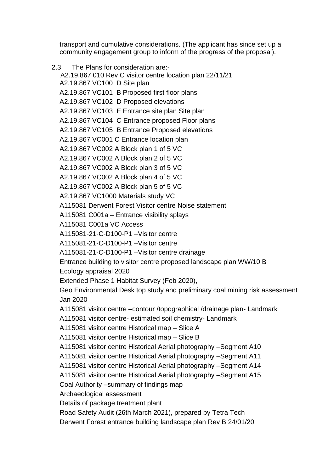transport and cumulative considerations. (The applicant has since set up a community engagement group to inform of the progress of the proposal).

2.3. The Plans for consideration are:- A2.19.867 010 Rev C visitor centre location plan 22/11/21 A2.19.867 VC100 D Site plan A2.19.867 VC101 B Proposed first floor plans A2.19.867 VC102 D Proposed elevations A2.19.867 VC103 E Entrance site plan Site plan A2.19.867 VC104 C Entrance proposed Floor plans A2.19.867 VC105 B Entrance Proposed elevations A2.19.867 VC001 C Entrance location plan A2.19.867 VC002 A Block plan 1 of 5 VC A2.19.867 VC002 A Block plan 2 of 5 VC A2.19.867 VC002 A Block plan 3 of 5 VC A2.19.867 VC002 A Block plan 4 of 5 VC A2.19.867 VC002 A Block plan 5 of 5 VC A2.19.867 VC1000 Materials study VC A115081 Derwent Forest Visitor centre Noise statement A115081 C001a – Entrance visibility splays A115081 C001a VC Access A115081-21-C-D100-P1 –Visitor centre A115081-21-C-D100-P1 –Visitor centre A115081-21-C-D100-P1 –Visitor centre drainage Entrance building to visitor centre proposed landscape plan WW/10 B Ecology appraisal 2020 Extended Phase 1 Habitat Survey (Feb 2020), Geo Environmental Desk top study and preliminary coal mining risk assessment Jan 2020 A115081 visitor centre –contour /topographical /drainage plan- Landmark A115081 visitor centre- estimated soil chemistry- Landmark A115081 visitor centre Historical map – Slice A A115081 visitor centre Historical map – Slice B A115081 visitor centre Historical Aerial photography –Segment A10 A115081 visitor centre Historical Aerial photography –Segment A11 A115081 visitor centre Historical Aerial photography –Segment A14 A115081 visitor centre Historical Aerial photography –Segment A15 Coal Authority –summary of findings map Archaeological assessment Details of package treatment plant Road Safety Audit (26th March 2021), prepared by Tetra Tech Derwent Forest entrance building landscape plan Rev B 24/01/20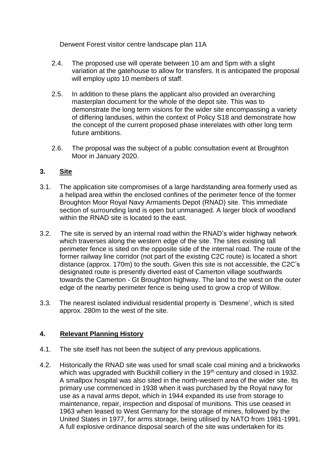Derwent Forest visitor centre landscape plan 11A

- 2.4. The proposed use will operate between 10 am and 5pm with a slight variation at the gatehouse to allow for transfers. It is anticipated the proposal will employ upto 10 members of staff.
- 2.5. In addition to these plans the applicant also provided an overarching masterplan document for the whole of the depot site. This was to demonstrate the long term visions for the wider site encompassing a variety of differing landuses, within the context of Policy S18 and demonstrate how the concept of the current proposed phase interelates with other long term future ambitions.
- 2.6. The proposal was the subject of a public consultation event at Broughton Moor in January 2020.

# **3. Site**

- 3.1. The application site compromises of a large hardstanding area formerly used as a helipad area within the enclosed confines of the perimeter fence of the former Broughton Moor Royal Navy Armaments Depot (RNAD) site. This immediate section of surrounding land is open but unmanaged. A larger block of woodland within the RNAD site is located to the east.
- 3.2. The site is served by an internal road within the RNAD's wider highway network which traverses along the western edge of the site. The sites existing tall perimeter fence is sited on the opposite side of the internal road. The route of the former railway line corridor (not part of the existing C2C route) is located a short distance (approx. 170m) to the south. Given this site is not accessible, the C2C's designated route is presently diverted east of Camerton village southwards towards the Camerton - Gt Broughton highway. The land to the west on the outer edge of the nearby perimeter fence is being used to grow a crop of Willow.
- 3.3. The nearest isolated individual residential property is 'Desmene', which is sited approx. 280m to the west of the site.

# **4. Relevant Planning History**

- 4.1. The site itself has not been the subject of any previous applications.
- 4.2. Historically the RNAD site was used for small scale coal mining and a brickworks which was upgraded with Buckhill colliery in the 19<sup>th</sup> century and closed in 1932. A smallpox hospital was also sited in the north-western area of the wider site. Its primary use commenced in 1938 when it was purchased by the Royal navy for use as a naval arms depot, which in 1944 expanded its use from storage to maintenance, repair, inspection and disposal of munitions. This use ceased in 1963 when leased to West Germany for the storage of mines, followed by the United States in 1977, for arms storage, being utilised by NATO from 1981-1991. A full explosive ordinance disposal search of the site was undertaken for its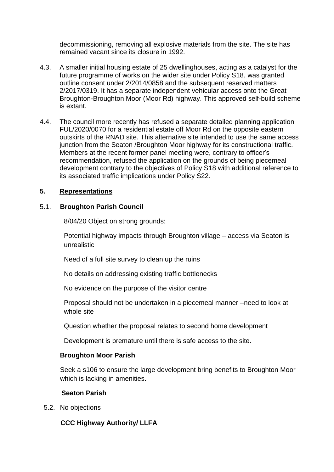decommissioning, removing all explosive materials from the site. The site has remained vacant since its closure in 1992.

- 4.3. A smaller initial housing estate of 25 dwellinghouses, acting as a catalyst for the future programme of works on the wider site under Policy S18, was granted outline consent under 2/2014/0858 and the subsequent reserved matters 2/2017/0319. It has a separate independent vehicular access onto the Great Broughton-Broughton Moor (Moor Rd) highway. This approved self-build scheme is extant.
- 4.4. The council more recently has refused a separate detailed planning application FUL/2020/0070 for a residential estate off Moor Rd on the opposite eastern outskirts of the RNAD site. This alternative site intended to use the same access junction from the Seaton /Broughton Moor highway for its constructional traffic. Members at the recent former panel meeting were, contrary to officer's recommendation, refused the application on the grounds of being piecemeal development contrary to the objectives of Policy S18 with additional reference to its associated traffic implications under Policy S22.

### **5. Representations**

### 5.1. **Broughton Parish Council**

8/04/20 Object on strong grounds:

Potential highway impacts through Broughton village – access via Seaton is unrealistic

Need of a full site survey to clean up the ruins

No details on addressing existing traffic bottlenecks

No evidence on the purpose of the visitor centre

Proposal should not be undertaken in a piecemeal manner –need to look at whole site

Question whether the proposal relates to second home development

Development is premature until there is safe access to the site.

### **Broughton Moor Parish**

Seek a s106 to ensure the large development bring benefits to Broughton Moor which is lacking in amenities.

### **Seaton Parish**

5.2. No objections

 **CCC Highway Authority/ LLFA**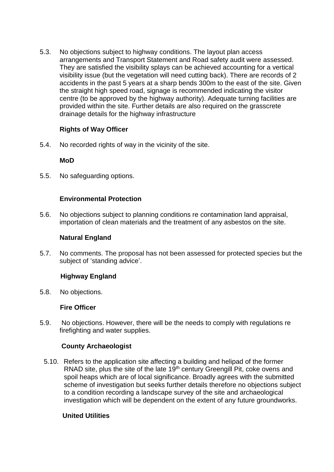5.3. No objections subject to highway conditions. The layout plan access arrangements and Transport Statement and Road safety audit were assessed. They are satisfied the visibility splays can be achieved accounting for a vertical visibility issue (but the vegetation will need cutting back). There are records of 2 accidents in the past 5 years at a sharp bends 300m to the east of the site. Given the straight high speed road, signage is recommended indicating the visitor centre (to be approved by the highway authority). Adequate turning facilities are provided within the site. Further details are also required on the grasscrete drainage details for the highway infrastructure

### **Rights of Way Officer**

5.4. No recorded rights of way in the vicinity of the site.

### **MoD**

5.5. No safeguarding options.

### **Environmental Protection**

5.6. No objections subject to planning conditions re contamination land appraisal, importation of clean materials and the treatment of any asbestos on the site.

### **Natural England**

5.7. No comments. The proposal has not been assessed for protected species but the subject of 'standing advice'.

### **Highway England**

5.8. No objections.

### **Fire Officer**

5.9. No objections. However, there will be the needs to comply with regulations re firefighting and water supplies.

### **County Archaeologist**

5.10. Refers to the application site affecting a building and helipad of the former RNAD site, plus the site of the late 19<sup>th</sup> century Greengill Pit, coke ovens and spoil heaps which are of local significance. Broadly agrees with the submitted scheme of investigation but seeks further details therefore no objections subject to a condition recording a landscape survey of the site and archaeological investigation which will be dependent on the extent of any future groundworks.

### **United Utilities**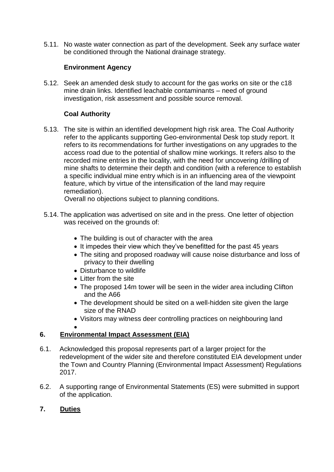5.11. No waste water connection as part of the development. Seek any surface water be conditioned through the National drainage strategy.

# **Environment Agency**

5.12. Seek an amended desk study to account for the gas works on site or the c18 mine drain links. Identified leachable contaminants – need of ground investigation, risk assessment and possible source removal.

# **Coal Authority**

5.13. The site is within an identified development high risk area. The Coal Authority refer to the applicants supporting Geo-environmental Desk top study report. It refers to its recommendations for further investigations on any upgrades to the access road due to the potential of shallow mine workings. It refers also to the recorded mine entries in the locality, with the need for uncovering /drilling of mine shafts to determine their depth and condition (with a reference to establish a specific individual mine entry which is in an influencing area of the viewpoint feature, which by virtue of the intensification of the land may require remediation).

Overall no objections subject to planning conditions.

- 5.14. The application was advertised on site and in the press. One letter of objection was received on the grounds of:
	- The building is out of character with the area
	- It impedes their view which they've benefitted for the past 45 years
	- The siting and proposed roadway will cause noise disturbance and loss of privacy to their dwelling
	- Disturbance to wildlife
	- Litter from the site
	- The proposed 14m tower will be seen in the wider area including Clifton and the A66
	- The development should be sited on a well-hidden site given the large size of the RNAD
	- Visitors may witness deer controlling practices on neighbouring land

#### $\bullet$

# **6. Environmental Impact Assessment (EIA)**

- 6.1. Acknowledged this proposal represents part of a larger project for the redevelopment of the wider site and therefore constituted EIA development under the Town and Country Planning (Environmental Impact Assessment) Regulations 2017.
- 6.2. A supporting range of Environmental Statements (ES) were submitted in support of the application.

# **7. Duties**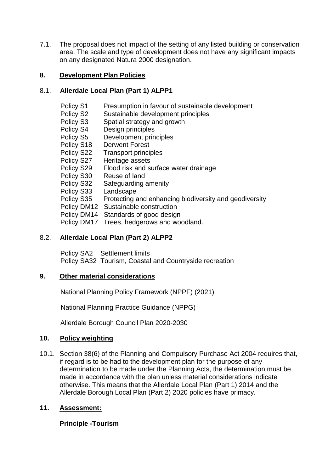7.1. The proposal does not impact of the setting of any listed building or conservation area. The scale and type of development does not have any significant impacts on any designated Natura 2000 designation.

### **8. Development Plan Policies**

### 8.1. **Allerdale Local Plan (Part 1) ALPP1**

| Presumption in favour of sustainable development       |
|--------------------------------------------------------|
| Sustainable development principles                     |
| Spatial strategy and growth                            |
| Design principles                                      |
| Development principles                                 |
| <b>Derwent Forest</b>                                  |
| <b>Transport principles</b>                            |
| Heritage assets                                        |
| Flood risk and surface water drainage                  |
| Reuse of land                                          |
| Safeguarding amenity                                   |
| Landscape                                              |
| Protecting and enhancing biodiversity and geodiversity |
| Policy DM12 Sustainable construction                   |
| Policy DM14<br>Standards of good design                |
| Policy DM17 Trees, hedgerows and woodland.             |
|                                                        |

### 8.2. **Allerdale Local Plan (Part 2) ALPP2**

 Policy SA2 Settlement limits Policy SA32 Tourism, Coastal and Countryside recreation

### **9. Other material considerations**

National Planning Policy Framework (NPPF) (2021)

National Planning Practice Guidance (NPPG)

Allerdale Borough Council Plan 2020-2030

### **10. Policy weighting**

10.1. Section 38(6) of the Planning and Compulsory Purchase Act 2004 requires that, if regard is to be had to the development plan for the purpose of any determination to be made under the Planning Acts, the determination must be made in accordance with the plan unless material considerations indicate otherwise. This means that the Allerdale Local Plan (Part 1) 2014 and the Allerdale Borough Local Plan (Part 2) 2020 policies have primacy.

### **11. Assessment:**

### **Principle -Tourism**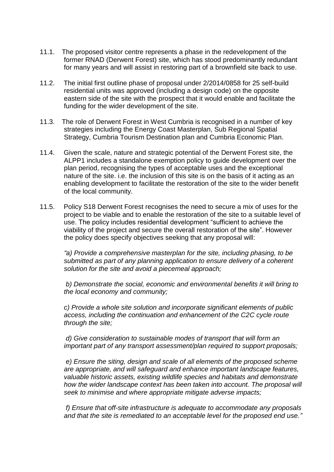- 11.1. The proposed visitor centre represents a phase in the redevelopment of the former RNAD (Derwent Forest) site, which has stood predominantly redundant for many years and will assist in restoring part of a brownfield site back to use.
- 11.2. The initial first outline phase of proposal under 2/2014/0858 for 25 self-build residential units was approved (including a design code) on the opposite eastern side of the site with the prospect that it would enable and facilitate the funding for the wider development of the site.
- 11.3. The role of Derwent Forest in West Cumbria is recognised in a number of key strategies including the Energy Coast Masterplan, Sub Regional Spatial Strategy, Cumbria Tourism Destination plan and Cumbria Economic Plan.
- 11.4. Given the scale, nature and strategic potential of the Derwent Forest site, the ALPP1 includes a standalone exemption policy to guide development over the plan period, recognising the types of acceptable uses and the exceptional nature of the site. i.e. the inclusion of this site is on the basis of it acting as an enabling development to facilitate the restoration of the site to the wider benefit of the local community.
- 11.5. Policy S18 Derwent Forest recognises the need to secure a mix of uses for the project to be viable and to enable the restoration of the site to a suitable level of use. The policy includes residential development "sufficient to achieve the viability of the project and secure the overall restoration of the site". However the policy does specify objectives seeking that any proposal will:

*"a) Provide a comprehensive masterplan for the site, including phasing, to be submitted as part of any planning application to ensure delivery of a coherent solution for the site and avoid a piecemeal approach;*

*b) Demonstrate the social, economic and environmental benefits it will bring to the local economy and community;*

*c) Provide a whole site solution and incorporate significant elements of public access, including the continuation and enhancement of the C2C cycle route through the site;*

*d) Give consideration to sustainable modes of transport that will form an important part of any transport assessment/plan required to support proposals;*

*e) Ensure the siting, design and scale of all elements of the proposed scheme are appropriate, and will safeguard and enhance important landscape features, valuable historic assets, existing wildlife species and habitats and demonstrate*  how the wider landscape context has been taken into account. The proposal will *seek to minimise and where appropriate mitigate adverse impacts;*

*f) Ensure that off-site infrastructure is adequate to accommodate any proposals and that the site is remediated to an acceptable level for the proposed end use."*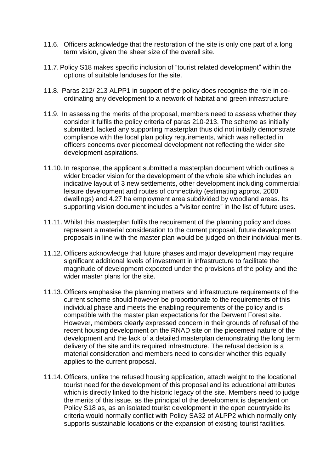- 11.6. Officers acknowledge that the restoration of the site is only one part of a long term vision, given the sheer size of the overall site.
- 11.7. Policy S18 makes specific inclusion of "tourist related development" within the options of suitable landuses for the site.
- 11.8. Paras 212/ 213 ALPP1 in support of the policy does recognise the role in coordinating any development to a network of habitat and green infrastructure.
- 11.9. In assessing the merits of the proposal, members need to assess whether they consider it fulfils the policy criteria of paras 210-213. The scheme as initially submitted, lacked any supporting masterplan thus did not initially demonstrate compliance with the local plan policy requirements, which was reflected in officers concerns over piecemeal development not reflecting the wider site development aspirations.
- 11.10. In response, the applicant submitted a masterplan document which outlines a wider broader vision for the development of the whole site which includes an indicative layout of 3 new settlements, other development including commercial leisure development and routes of connectivity (estimating approx. 2000 dwellings) and 4.27 ha employment area subdivided by woodland areas. Its supporting vision document includes a "visitor centre" in the list of future uses.
- 11.11. Whilst this masterplan fulfils the requirement of the planning policy and does represent a material consideration to the current proposal, future development proposals in line with the master plan would be judged on their individual merits.
- 11.12. Officers acknowledge that future phases and major development may require significant additional levels of investment in infrastructure to facilitate the magnitude of development expected under the provisions of the policy and the wider master plans for the site.
- 11.13. Officers emphasise the planning matters and infrastructure requirements of the current scheme should however be proportionate to the requirements of this individual phase and meets the enabling requirements of the policy and is compatible with the master plan expectations for the Derwent Forest site. However, members clearly expressed concern in their grounds of refusal of the recent housing development on the RNAD site on the piecemeal nature of the development and the lack of a detailed masterplan demonstrating the long term delivery of the site and its required infrastructure. The refusal decision is a material consideration and members need to consider whether this equally applies to the current proposal.
- 11.14. Officers, unlike the refused housing application, attach weight to the locational tourist need for the development of this proposal and its educational attributes which is directly linked to the historic legacy of the site. Members need to judge the merits of this issue, as the principal of the development is dependent on Policy S18 as, as an isolated tourist development in the open countryside its criteria would normally conflict with Policy SA32 of ALPP2 which normally only supports sustainable locations or the expansion of existing tourist facilities.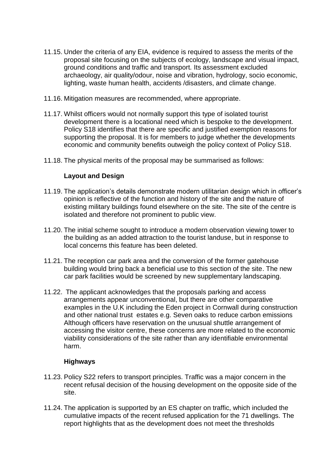- 11.15. Under the criteria of any EIA, evidence is required to assess the merits of the proposal site focusing on the subjects of ecology, landscape and visual impact, ground conditions and traffic and transport. Its assessment excluded archaeology, air quality/odour, noise and vibration, hydrology, socio economic, lighting, waste human health, accidents /disasters, and climate change.
- 11.16. Mitigation measures are recommended, where appropriate.
- 11.17. Whilst officers would not normally support this type of isolated tourist development there is a locational need which is bespoke to the development. Policy S18 identifies that there are specific and justified exemption reasons for supporting the proposal. It is for members to judge whether the developments economic and community benefits outweigh the policy context of Policy S18.
- 11.18. The physical merits of the proposal may be summarised as follows:

### **Layout and Design**

- 11.19. The application's details demonstrate modern utilitarian design which in officer's opinion is reflective of the function and history of the site and the nature of existing military buildings found elsewhere on the site. The site of the centre is isolated and therefore not prominent to public view.
- 11.20. The initial scheme sought to introduce a modern observation viewing tower to the building as an added attraction to the tourist landuse, but in response to local concerns this feature has been deleted.
- 11.21. The reception car park area and the conversion of the former gatehouse building would bring back a beneficial use to this section of the site. The new car park facilities would be screened by new supplementary landscaping.
- 11.22. The applicant acknowledges that the proposals parking and access arrangements appear unconventional, but there are other comparative examples in the U.K including the Eden project in Cornwall during construction and other national trust estates e.g. Seven oaks to reduce carbon emissions Although officers have reservation on the unusual shuttle arrangement of accessing the visitor centre, these concerns are more related to the economic viability considerations of the site rather than any identifiable environmental harm.

### **Highways**

- 11.23. Policy S22 refers to transport principles. Traffic was a major concern in the recent refusal decision of the housing development on the opposite side of the site.
- 11.24. The application is supported by an ES chapter on traffic, which included the cumulative impacts of the recent refused application for the 71 dwellings. The report highlights that as the development does not meet the thresholds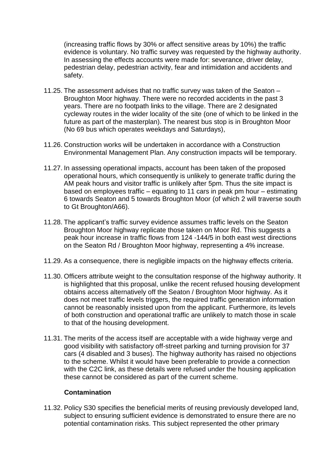(increasing traffic flows by 30% or affect sensitive areas by 10%) the traffic evidence is voluntary. No traffic survey was requested by the highway authority. In assessing the effects accounts were made for: severance, driver delay, pedestrian delay, pedestrian activity, fear and intimidation and accidents and safety.

- 11.25. The assessment advises that no traffic survey was taken of the Seaton Broughton Moor highway. There were no recorded accidents in the past 3 years. There are no footpath links to the village. There are 2 designated cycleway routes in the wider locality of the site (one of which to be linked in the future as part of the masterplan). The nearest bus stop is in Broughton Moor (No 69 bus which operates weekdays and Saturdays),
- 11.26. Construction works will be undertaken in accordance with a Construction Environmental Management Plan. Any construction impacts will be temporary.
- 11.27. In assessing operational impacts, account has been taken of the proposed operational hours, which consequently is unlikely to generate traffic during the AM peak hours and visitor traffic is unlikely after 5pm. Thus the site impact is based on employees traffic – equating to 11 cars in peak pm hour – estimating 6 towards Seaton and 5 towards Broughton Moor (of which 2 will traverse south to Gt Broughton/A66).
- 11.28. The applicant's traffic survey evidence assumes traffic levels on the Seaton Broughton Moor highway replicate those taken on Moor Rd. This suggests a peak hour increase in traffic flows from 124 -144/5 in both east west directions on the Seaton Rd / Broughton Moor highway, representing a 4% increase.
- 11.29. As a consequence, there is negligible impacts on the highway effects criteria.
- 11.30. Officers attribute weight to the consultation response of the highway authority. It is highlighted that this proposal, unlike the recent refused housing development obtains access alternatively off the Seaton / Broughton Moor highway. As it does not meet traffic levels triggers, the required traffic generation information cannot be reasonably insisted upon from the applicant. Furthermore, its levels of both construction and operational traffic are unlikely to match those in scale to that of the housing development.
- 11.31. The merits of the access itself are acceptable with a wide highway verge and good visibility with satisfactory off-street parking and turning provision for 37 cars (4 disabled and 3 buses). The highway authority has raised no objections to the scheme. Whilst it would have been preferable to provide a connection with the C2C link, as these details were refused under the housing application these cannot be considered as part of the current scheme.

### **Contamination**

11.32. Policy S30 specifies the beneficial merits of reusing previously developed land, subject to ensuring sufficient evidence is demonstrated to ensure there are no potential contamination risks. This subject represented the other primary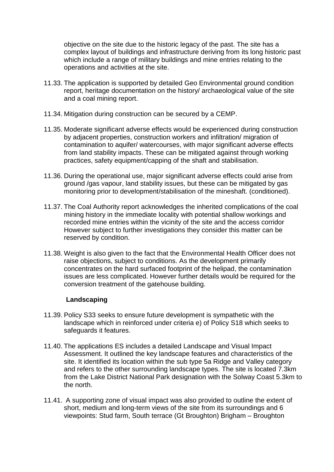objective on the site due to the historic legacy of the past. The site has a complex layout of buildings and infrastructure deriving from its long historic past which include a range of military buildings and mine entries relating to the operations and activities at the site.

- 11.33. The application is supported by detailed Geo Environmental ground condition report, heritage documentation on the history/ archaeological value of the site and a coal mining report.
- 11.34. Mitigation during construction can be secured by a CEMP.
- 11.35. Moderate significant adverse effects would be experienced during construction by adjacent properties, construction workers and infiltration/ migration of contamination to aquifer/ watercourses, with major significant adverse effects from land stability impacts. These can be mitigated against through working practices, safety equipment/capping of the shaft and stabilisation.
- 11.36. During the operational use, major significant adverse effects could arise from ground /gas vapour, land stability issues, but these can be mitigated by gas monitoring prior to development/stabilisation of the mineshaft. (conditioned).
- 11.37. The Coal Authority report acknowledges the inherited complications of the coal mining history in the immediate locality with potential shallow workings and recorded mine entries within the vicinity of the site and the access corridor However subject to further investigations they consider this matter can be reserved by condition.
- 11.38. Weight is also given to the fact that the Environmental Health Officer does not raise objections, subject to conditions. As the development primarily concentrates on the hard surfaced footprint of the helipad, the contamination issues are less complicated. However further details would be required for the conversion treatment of the gatehouse building.

### **Landscaping**

- 11.39. Policy S33 seeks to ensure future development is sympathetic with the landscape which in reinforced under criteria e) of Policy S18 which seeks to safeguards it features.
- 11.40. The applications ES includes a detailed Landscape and Visual Impact Assessment. It outlined the key landscape features and characteristics of the site. It identified its location within the sub type 5a Ridge and Valley category and refers to the other surrounding landscape types. The site is located 7.3km from the Lake District National Park designation with the Solway Coast 5.3km to the north.
- 11.41. A supporting zone of visual impact was also provided to outline the extent of short, medium and long-term views of the site from its surroundings and 6 viewpoints: Stud farm, South terrace (Gt Broughton) Brigham – Broughton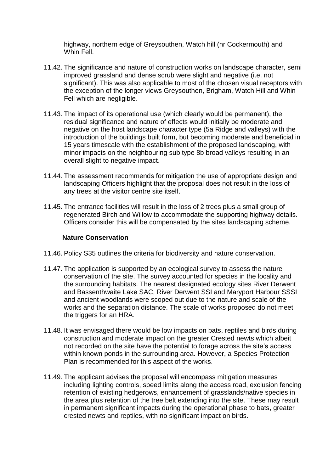highway, northern edge of Greysouthen, Watch hill (nr Cockermouth) and Whin Fell.

- 11.42. The significance and nature of construction works on landscape character, semi improved grassland and dense scrub were slight and negative (i.e. not significant). This was also applicable to most of the chosen visual receptors with the exception of the longer views Greysouthen, Brigham, Watch Hill and Whin Fell which are negligible.
- 11.43. The impact of its operational use (which clearly would be permanent), the residual significance and nature of effects would initially be moderate and negative on the host landscape character type (5a Ridge and valleys) with the introduction of the buildings built form, but becoming moderate and beneficial in 15 years timescale with the establishment of the proposed landscaping, with minor impacts on the neighbouring sub type 8b broad valleys resulting in an overall slight to negative impact.
- 11.44. The assessment recommends for mitigation the use of appropriate design and landscaping Officers highlight that the proposal does not result in the loss of any trees at the visitor centre site itself.
- 11.45. The entrance facilities will result in the loss of 2 trees plus a small group of regenerated Birch and Willow to accommodate the supporting highway details. Officers consider this will be compensated by the sites landscaping scheme.

#### **Nature Conservation**

- 11.46. Policy S35 outlines the criteria for biodiversity and nature conservation.
- 11.47. The application is supported by an ecological survey to assess the nature conservation of the site. The survey accounted for species in the locality and the surrounding habitats. The nearest designated ecology sites River Derwent and Bassenthwaite Lake SAC, River Derwent SSI and Maryport Harbour SSSI and ancient woodlands were scoped out due to the nature and scale of the works and the separation distance. The scale of works proposed do not meet the triggers for an HRA.
- 11.48. It was envisaged there would be low impacts on bats, reptiles and birds during construction and moderate impact on the greater Crested newts which albeit not recorded on the site have the potential to forage across the site's access within known ponds in the surrounding area. However, a Species Protection Plan is recommended for this aspect of the works.
- 11.49. The applicant advises the proposal will encompass mitigation measures including lighting controls, speed limits along the access road, exclusion fencing retention of existing hedgerows, enhancement of grasslands/native species in the area plus retention of the tree belt extending into the site. These may result in permanent significant impacts during the operational phase to bats, greater crested newts and reptiles, with no significant impact on birds.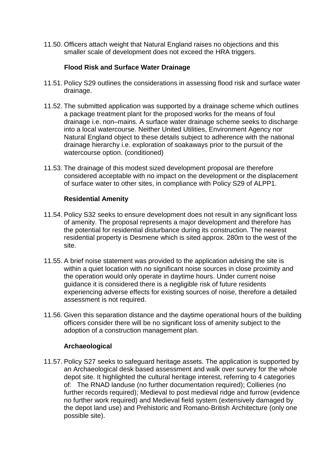11.50. Officers attach weight that Natural England raises no objections and this smaller scale of development does not exceed the HRA triggers.

# **Flood Risk and Surface Water Drainage**

- 11.51. Policy S29 outlines the considerations in assessing flood risk and surface water drainage.
- 11.52. The submitted application was supported by a drainage scheme which outlines a package treatment plant for the proposed works for the means of foul drainage i.e. non–mains. A surface water drainage scheme seeks to discharge into a local watercourse. Neither United Utilities, Environment Agency nor Natural England object to these details subject to adherence with the national drainage hierarchy i.e. exploration of soakaways prior to the pursuit of the watercourse option. (conditioned)
- 11.53. The drainage of this modest sized development proposal are therefore considered acceptable with no impact on the development or the displacement of surface water to other sites, in compliance with Policy S29 of ALPP1.

### **Residential Amenity**

- 11.54. Policy S32 seeks to ensure development does not result in any significant loss of amenity. The proposal represents a major development and therefore has the potential for residential disturbance during its construction. The nearest residential property is Desmene which is sited approx. 280m to the west of the site.
- 11.55. A brief noise statement was provided to the application advising the site is within a quiet location with no significant noise sources in close proximity and the operation would only operate in daytime hours. Under current noise guidance it is considered there is a negligible risk of future residents experiencing adverse effects for existing sources of noise, therefore a detailed assessment is not required.
- 11.56. Given this separation distance and the daytime operational hours of the building officers consider there will be no significant loss of amenity subject to the adoption of a construction management plan.

# **Archaeological**

11.57. Policy S27 seeks to safeguard heritage assets. The application is supported by an Archaeological desk based assessment and walk over survey for the whole depot site. It highlighted the cultural heritage interest, referring to 4 categories of: The RNAD landuse (no further documentation required); Collieries (no further records required); Medieval to post medieval ridge and furrow (evidence no further work required) and Medieval field system (extensively damaged by the depot land use) and Prehistoric and Romano-British Architecture (only one possible site).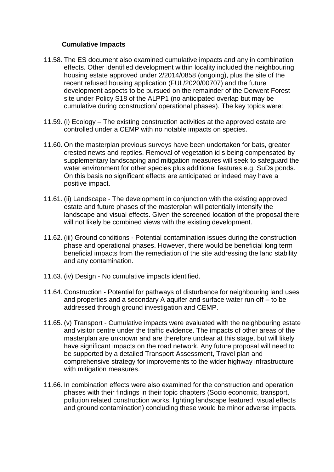### **Cumulative Impacts**

- 11.58. The ES document also examined cumulative impacts and any in combination effects. Other identified development within locality included the neighbouring housing estate approved under 2/2014/0858 (ongoing), plus the site of the recent refused housing application (FUL/2020/00707) and the future development aspects to be pursued on the remainder of the Derwent Forest site under Policy S18 of the ALPP1 (no anticipated overlap but may be cumulative during construction/ operational phases). The key topics were:
- 11.59. (i) Ecology The existing construction activities at the approved estate are controlled under a CEMP with no notable impacts on species.
- 11.60. On the masterplan previous surveys have been undertaken for bats, greater crested newts and reptiles. Removal of vegetation id s being compensated by supplementary landscaping and mitigation measures will seek to safeguard the water environment for other species plus additional features e.g. SuDs ponds. On this basis no significant effects are anticipated or indeed may have a positive impact.
- 11.61. (ii) Landscape The development in conjunction with the existing approved estate and future phases of the masterplan will potentially intensify the landscape and visual effects. Given the screened location of the proposal there will not likely be combined views with the existing development.
- 11.62. (iii) Ground conditions Potential contamination issues during the construction phase and operational phases. However, there would be beneficial long term beneficial impacts from the remediation of the site addressing the land stability and any contamination.
- 11.63. (iv) Design No cumulative impacts identified.
- 11.64. Construction Potential for pathways of disturbance for neighbouring land uses and properties and a secondary A aquifer and surface water run off – to be addressed through ground investigation and CEMP.
- 11.65. (v) Transport Cumulative impacts were evaluated with the neighbouring estate and visitor centre under the traffic evidence. The impacts of other areas of the masterplan are unknown and are therefore unclear at this stage, but will likely have significant impacts on the road network. Any future proposal will need to be supported by a detailed Transport Assessment, Travel plan and comprehensive strategy for improvements to the wider highway infrastructure with mitigation measures.
- 11.66. In combination effects were also examined for the construction and operation phases with their findings in their topic chapters (Socio economic, transport, pollution related construction works, lighting landscape featured, visual effects and ground contamination) concluding these would be minor adverse impacts.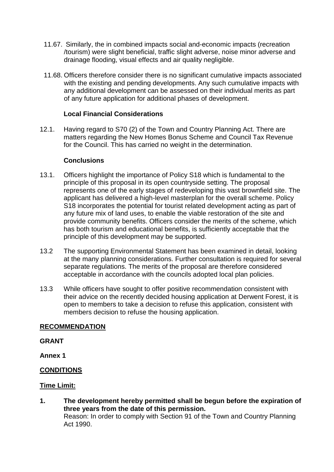- 11.67. Similarly, the in combined impacts social and-economic impacts (recreation /tourism) were slight beneficial, traffic slight adverse, noise minor adverse and drainage flooding, visual effects and air quality negligible.
- 11.68. Officers therefore consider there is no significant cumulative impacts associated with the existing and pending developments. Any such cumulative impacts with any additional development can be assessed on their individual merits as part of any future application for additional phases of development.

### **Local Financial Considerations**

12.1. Having regard to S70 (2) of the Town and Country Planning Act. There are matters regarding the New Homes Bonus Scheme and Council Tax Revenue for the Council. This has carried no weight in the determination.

### **Conclusions**

- 13.1. Officers highlight the importance of Policy S18 which is fundamental to the principle of this proposal in its open countryside setting. The proposal represents one of the early stages of redeveloping this vast brownfield site. The applicant has delivered a high-level masterplan for the overall scheme. Policy S18 incorporates the potential for tourist related development acting as part of any future mix of land uses, to enable the viable restoration of the site and provide community benefits. Officers consider the merits of the scheme, which has both tourism and educational benefits, is sufficiently acceptable that the principle of this development may be supported.
- 13.2 The supporting Environmental Statement has been examined in detail, looking at the many planning considerations. Further consultation is required for several separate regulations. The merits of the proposal are therefore considered acceptable in accordance with the councils adopted local plan policies.
- 13.3 While officers have sought to offer positive recommendation consistent with their advice on the recently decided housing application at Derwent Forest, it is open to members to take a decision to refuse this application, consistent with members decision to refuse the housing application.

### **RECOMMENDATION**

#### **GRANT**

**Annex 1**

### **CONDITIONS**

### **Time Limit:**

**1. The development hereby permitted shall be begun before the expiration of three years from the date of this permission.** Reason: In order to comply with Section 91 of the Town and Country Planning Act 1990.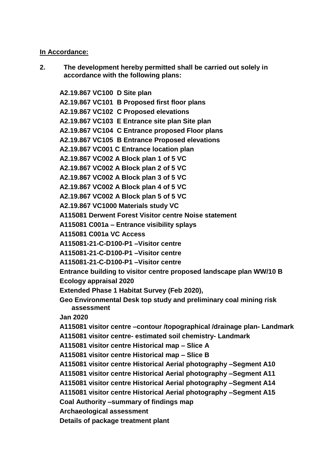#### **In Accordance:**

**2. The development hereby permitted shall be carried out solely in accordance with the following plans:**

**A2.19.867 VC100 D Site plan A2.19.867 VC101 B Proposed first floor plans A2.19.867 VC102 C Proposed elevations A2.19.867 VC103 E Entrance site plan Site plan A2.19.867 VC104 C Entrance proposed Floor plans A2.19.867 VC105 B Entrance Proposed elevations A2.19.867 VC001 C Entrance location plan A2.19.867 VC002 A Block plan 1 of 5 VC A2.19.867 VC002 A Block plan 2 of 5 VC A2.19.867 VC002 A Block plan 3 of 5 VC A2.19.867 VC002 A Block plan 4 of 5 VC A2.19.867 VC002 A Block plan 5 of 5 VC A2.19.867 VC1000 Materials study VC A115081 Derwent Forest Visitor centre Noise statement A115081 C001a – Entrance visibility splays A115081 C001a VC Access A115081-21-C-D100-P1 –Visitor centre A115081-21-C-D100-P1 –Visitor centre A115081-21-C-D100-P1 –Visitor centre Entrance building to visitor centre proposed landscape plan WW/10 B Ecology appraisal 2020 Extended Phase 1 Habitat Survey (Feb 2020), Geo Environmental Desk top study and preliminary coal mining risk assessment Jan 2020 A115081 visitor centre –contour /topographical /drainage plan- Landmark A115081 visitor centre- estimated soil chemistry- Landmark A115081 visitor centre Historical map – Slice A A115081 visitor centre Historical map – Slice B A115081 visitor centre Historical Aerial photography –Segment A10 A115081 visitor centre Historical Aerial photography –Segment A11 A115081 visitor centre Historical Aerial photography –Segment A14 A115081 visitor centre Historical Aerial photography –Segment A15 Coal Authority –summary of findings map Archaeological assessment Details of package treatment plant**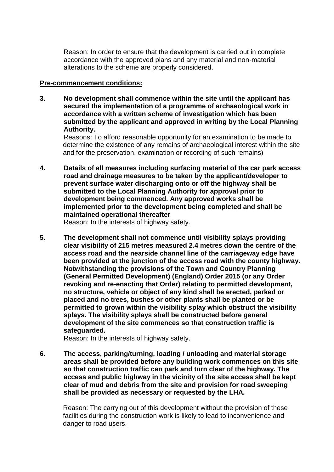Reason: In order to ensure that the development is carried out in complete accordance with the approved plans and any material and non-material alterations to the scheme are properly considered.

#### **Pre-commencement conditions:**

**3. No development shall commence within the site until the applicant has secured the implementation of a programme of archaeological work in accordance with a written scheme of investigation which has been submitted by the applicant and approved in writing by the Local Planning Authority.**

 Reasons: To afford reasonable opportunity for an examination to be made to determine the existence of any remains of archaeological interest within the site and for the preservation, examination or recording of such remains)

**4. Details of all measures including surfacing material of the car park access road and drainage measures to be taken by the applicant/developer to prevent surface water discharging onto or off the highway shall be submitted to the Local Planning Authority for approval prior to development being commenced. Any approved works shall be implemented prior to the development being completed and shall be maintained operational thereafter** 

Reason: In the interests of highway safety.

**5. The development shall not commence until visibility splays providing clear visibility of 215 metres measured 2.4 metres down the centre of the access road and the nearside channel line of the carriageway edge have been provided at the junction of the access road with the county highway. Notwithstanding the provisions of the Town and Country Planning (General Permitted Development) (England) Order 2015 (or any Order revoking and re-enacting that Order) relating to permitted development, no structure, vehicle or object of any kind shall be erected, parked or placed and no trees, bushes or other plants shall be planted or be permitted to grown within the visibility splay which obstruct the visibility splays. The visibility splays shall be constructed before general development of the site commences so that construction traffic is safeguarded.** 

Reason: In the interests of highway safety.

**6. The access, parking/turning, loading / unloading and material storage areas shall be provided before any building work commences on this site so that construction traffic can park and turn clear of the highway. The access and public highway in the vicinity of the site access shall be kept clear of mud and debris from the site and provision for road sweeping shall be provided as necessary or requested by the LHA.** 

Reason: The carrying out of this development without the provision of these facilities during the construction work is likely to lead to inconvenience and danger to road users.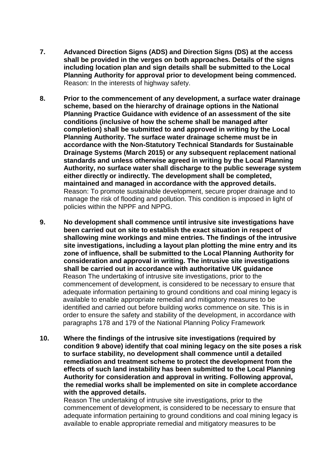- **7. Advanced Direction Signs (ADS) and Direction Signs (DS) at the access shall be provided in the verges on both approaches. Details of the signs including location plan and sign details shall be submitted to the Local Planning Authority for approval prior to development being commenced.**  Reason: In the interests of highway safety.
- **8. Prior to the commencement of any development, a surface water drainage scheme, based on the hierarchy of drainage options in the National Planning Practice Guidance with evidence of an assessment of the site conditions (inclusive of how the scheme shall be managed after completion) shall be submitted to and approved in writing by the Local Planning Authority. The surface water drainage scheme must be in accordance with the Non-Statutory Technical Standards for Sustainable Drainage Systems (March 2015) or any subsequent replacement national standards and unless otherwise agreed in writing by the Local Planning Authority, no surface water shall discharge to the public sewerage system either directly or indirectly. The development shall be completed, maintained and managed in accordance with the approved details.** Reason: To promote sustainable development, secure proper drainage and to manage the risk of flooding and pollution. This condition is imposed in light of policies within the NPPF and NPPG.
- **9. No development shall commence until intrusive site investigations have been carried out on site to establish the exact situation in respect of shallowing mine workings and mine entries. The findings of the intrusive site investigations, including a layout plan plotting the mine entry and its zone of influence, shall be submitted to the Local Planning Authority for consideration and approval in writing. The intrusive site investigations shall be carried out in accordance with authoritative UK guidance** Reason The undertaking of intrusive site investigations, prior to the commencement of development, is considered to be necessary to ensure that adequate information pertaining to ground conditions and coal mining legacy is available to enable appropriate remedial and mitigatory measures to be identified and carried out before building works commence on site. This is in order to ensure the safety and stability of the development, in accordance with paragraphs 178 and 179 of the National Planning Policy Framework
- **10. Where the findings of the intrusive site investigations (required by condition 9 above) identify that coal mining legacy on the site poses a risk to surface stability, no development shall commence until a detailed remediation and treatment scheme to protect the development from the effects of such land instability has been submitted to the Local Planning Authority for consideration and approval in writing. Following approval, the remedial works shall be implemented on site in complete accordance with the approved details.**

Reason The undertaking of intrusive site investigations, prior to the commencement of development, is considered to be necessary to ensure that adequate information pertaining to ground conditions and coal mining legacy is available to enable appropriate remedial and mitigatory measures to be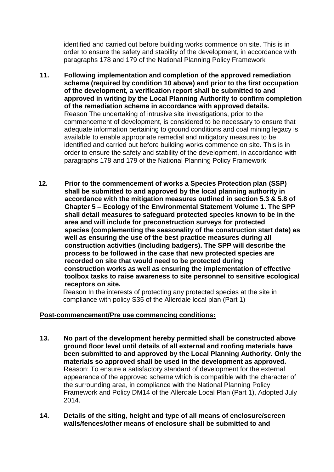identified and carried out before building works commence on site. This is in order to ensure the safety and stability of the development, in accordance with paragraphs 178 and 179 of the National Planning Policy Framework

- **11. Following implementation and completion of the approved remediation scheme (required by condition 10 above) and prior to the first occupation of the development, a verification report shall be submitted to and approved in writing by the Local Planning Authority to confirm completion of the remediation scheme in accordance with approved details.**  Reason The undertaking of intrusive site investigations, prior to the commencement of development, is considered to be necessary to ensure that adequate information pertaining to ground conditions and coal mining legacy is available to enable appropriate remedial and mitigatory measures to be identified and carried out before building works commence on site. This is in order to ensure the safety and stability of the development, in accordance with paragraphs 178 and 179 of the National Planning Policy Framework
- **12. Prior to the commencement of works a Species Protection plan (SSP) shall be submitted to and approved by the local planning authority in accordance with the mitigation measures outlined in section 5.3 & 5.8 of Chapter 5 – Ecology of the Environmental Statement Volume 1. The SPP shall detail measures to safeguard protected species known to be in the area and will include for preconstruction surveys for protected species (complementing the seasonality of the construction start date) as well as ensuring the use of the best practice measures during all construction activities (including badgers). The SPP will describe the process to be followed in the case that new protected species are recorded on site that would need to be protected during construction works as well as ensuring the implementation of effective toolbox tasks to raise awareness to site personnel to sensitive ecological receptors on site.**

 Reason In the interests of protecting any protected species at the site in compliance with policy S35 of the Allerdale local plan (Part 1)

### **Post-commencement/Pre use commencing conditions:**

- **13. No part of the development hereby permitted shall be constructed above ground floor level until details of all external and roofing materials have been submitted to and approved by the Local Planning Authority. Only the materials so approved shall be used in the development as approved.** Reason: To ensure a satisfactory standard of development for the external appearance of the approved scheme which is compatible with the character of the surrounding area, in compliance with the National Planning Policy Framework and Policy DM14 of the Allerdale Local Plan (Part 1), Adopted July 2014.
- **14. Details of the siting, height and type of all means of enclosure/screen walls/fences/other means of enclosure shall be submitted to and**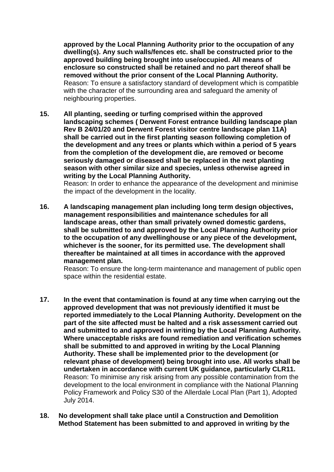**approved by the Local Planning Authority prior to the occupation of any dwelling(s). Any such walls/fences etc. shall be constructed prior to the approved building being brought into use/occupied. All means of enclosure so constructed shall be retained and no part thereof shall be removed without the prior consent of the Local Planning Authority.** Reason: To ensure a satisfactory standard of development which is compatible with the character of the surrounding area and safeguard the amenity of neighbouring properties.

**15. All planting, seeding or turfing comprised within the approved landscaping schemes ( Derwent Forest entrance building landscape plan Rev B 24/01/20 and Derwent Forest visitor centre landscape plan 11A) shall be carried out in the first planting season following completion of the development and any trees or plants which within a period of 5 years from the completion of the development die, are removed or become seriously damaged or diseased shall be replaced in the next planting season with other similar size and species, unless otherwise agreed in writing by the Local Planning Authority.** 

Reason: In order to enhance the appearance of the development and minimise the impact of the development in the locality.

**16. A landscaping management plan including long term design objectives, management responsibilities and maintenance schedules for all landscape areas, other than small privately owned domestic gardens, shall be submitted to and approved by the Local Planning Authority prior to the occupation of any dwellinghouse or any piece of the development, whichever is the sooner, for its permitted use. The development shall thereafter be maintained at all times in accordance with the approved management plan.**

Reason: To ensure the long-term maintenance and management of public open space within the residential estate.

- **17. In the event that contamination is found at any time when carrying out the approved development that was not previously identified it must be reported immediately to the Local Planning Authority. Development on the part of the site affected must be halted and a risk assessment carried out and submitted to and approved in writing by the Local Planning Authority. Where unacceptable risks are found remediation and verification schemes shall be submitted to and approved in writing by the Local Planning Authority. These shall be implemented prior to the development (or relevant phase of development) being brought into use. All works shall be undertaken in accordance with current UK guidance, particularly CLR11.** Reason: To minimise any risk arising from any possible contamination from the development to the local environment in compliance with the National Planning Policy Framework and Policy S30 of the Allerdale Local Plan (Part 1), Adopted July 2014.
- **18. No development shall take place until a Construction and Demolition Method Statement has been submitted to and approved in writing by the**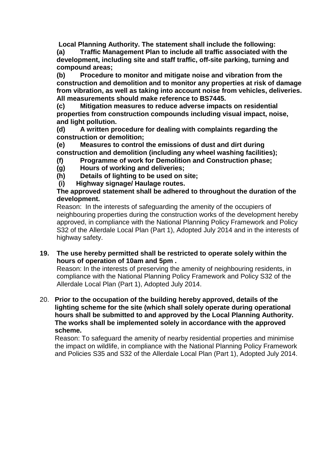**Local Planning Authority. The statement shall include the following: (a) Traffic Management Plan to include all traffic associated with the development, including site and staff traffic, off-site parking, turning and compound areas;**

 **(b) Procedure to monitor and mitigate noise and vibration from the construction and demolition and to monitor any properties at risk of damage from vibration, as well as taking into account noise from vehicles, deliveries. All measurements should make reference to BS7445.**

 **(c) Mitigation measures to reduce adverse impacts on residential properties from construction compounds including visual impact, noise, and light pollution.**

 **(d) A written procedure for dealing with complaints regarding the construction or demolition;**

 **(e) Measures to control the emissions of dust and dirt during construction and demolition (including any wheel washing facilities);**

- **(f) Programme of work for Demolition and Construction phase;**
- **(g) Hours of working and deliveries;**
- **(h) Details of lighting to be used on site;**
- **(i) Highway signage/ Haulage routes.**

### **The approved statement shall be adhered to throughout the duration of the development.**

 Reason: In the interests of safeguarding the amenity of the occupiers of neighbouring properties during the construction works of the development hereby approved, in compliance with the National Planning Policy Framework and Policy S32 of the Allerdale Local Plan (Part 1), Adopted July 2014 and in the interests of highway safety.

# **19. The use hereby permitted shall be restricted to operate solely within the hours of operation of 10am and 5pm .**

 Reason: In the interests of preserving the amenity of neighbouring residents, in compliance with the National Planning Policy Framework and Policy S32 of the Allerdale Local Plan (Part 1), Adopted July 2014.

20. **Prior to the occupation of the building hereby approved, details of the lighting scheme for the site (which shall solely operate during operational hours shall be submitted to and approved by the Local Planning Authority. The works shall be implemented solely in accordance with the approved scheme.**

 Reason: To safeguard the amenity of nearby residential properties and minimise the impact on wildlife, in compliance with the National Planning Policy Framework and Policies S35 and S32 of the Allerdale Local Plan (Part 1), Adopted July 2014.